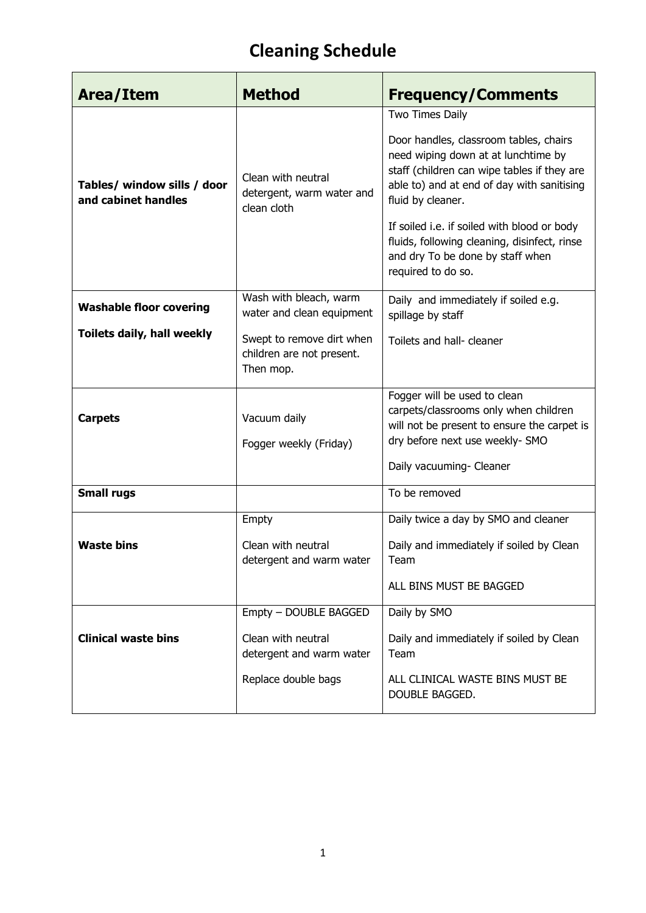| Area/Item                                                    | <b>Method</b>                                                                                                              | <b>Frequency/Comments</b>                                                                                                                                                                                                                                                                                                                                                   |  |  |  |  |  |
|--------------------------------------------------------------|----------------------------------------------------------------------------------------------------------------------------|-----------------------------------------------------------------------------------------------------------------------------------------------------------------------------------------------------------------------------------------------------------------------------------------------------------------------------------------------------------------------------|--|--|--|--|--|
| Tables/ window sills / door<br>and cabinet handles           | Clean with neutral<br>detergent, warm water and<br>clean cloth                                                             | Two Times Daily<br>Door handles, classroom tables, chairs<br>need wiping down at at lunchtime by<br>staff (children can wipe tables if they are<br>able to) and at end of day with sanitising<br>fluid by cleaner.<br>If soiled i.e. if soiled with blood or body<br>fluids, following cleaning, disinfect, rinse<br>and dry To be done by staff when<br>required to do so. |  |  |  |  |  |
| <b>Washable floor covering</b><br>Toilets daily, hall weekly | Wash with bleach, warm<br>water and clean equipment<br>Swept to remove dirt when<br>children are not present.<br>Then mop. | Daily and immediately if soiled e.g.<br>spillage by staff<br>Toilets and hall- cleaner                                                                                                                                                                                                                                                                                      |  |  |  |  |  |
| <b>Carpets</b>                                               | Vacuum daily<br>Fogger weekly (Friday)                                                                                     | Fogger will be used to clean<br>carpets/classrooms only when children<br>will not be present to ensure the carpet is<br>dry before next use weekly- SMO<br>Daily vacuuming- Cleaner                                                                                                                                                                                         |  |  |  |  |  |
| <b>Small rugs</b>                                            |                                                                                                                            | To be removed                                                                                                                                                                                                                                                                                                                                                               |  |  |  |  |  |
| <b>Waste bins</b>                                            | Empty<br>Clean with neutral<br>detergent and warm water                                                                    | Daily twice a day by SMO and cleaner<br>Daily and immediately if soiled by Clean<br>Team<br>ALL BINS MUST BE BAGGED                                                                                                                                                                                                                                                         |  |  |  |  |  |
| <b>Clinical waste bins</b>                                   | Empty - DOUBLE BAGGED<br>Clean with neutral<br>detergent and warm water<br>Replace double bags                             | Daily by SMO<br>Daily and immediately if soiled by Clean<br>Team<br>ALL CLINICAL WASTE BINS MUST BE<br>DOUBLE BAGGED.                                                                                                                                                                                                                                                       |  |  |  |  |  |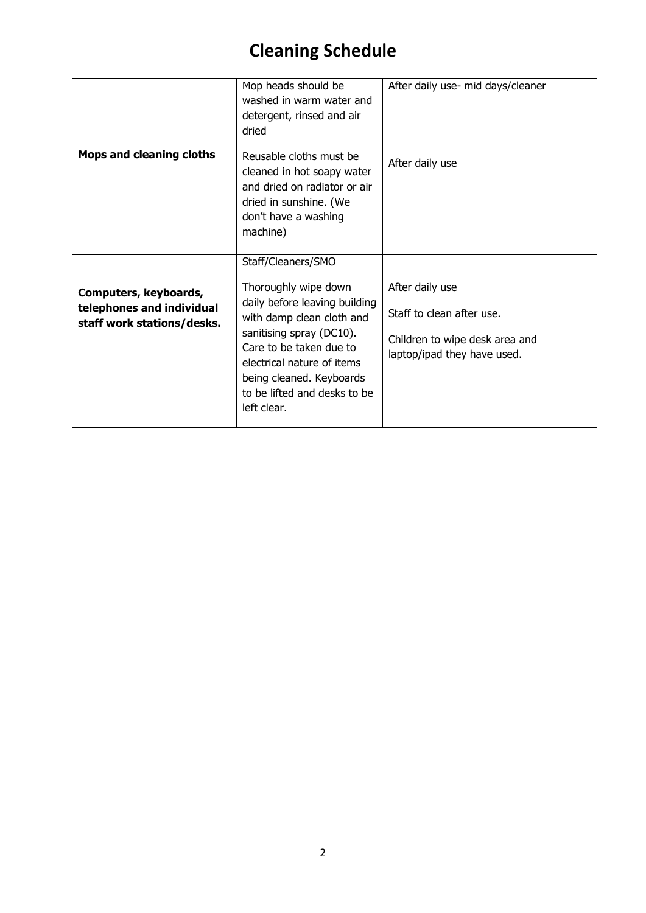|                                                         | Mop heads should be<br>washed in warm water and<br>detergent, rinsed and air<br>dried                                                                        | After daily use- mid days/cleaner                             |  |  |  |  |  |
|---------------------------------------------------------|--------------------------------------------------------------------------------------------------------------------------------------------------------------|---------------------------------------------------------------|--|--|--|--|--|
| <b>Mops and cleaning cloths</b>                         | Reusable cloths must be<br>cleaned in hot soapy water<br>and dried on radiator or air<br>dried in sunshine. (We<br>don't have a washing<br>machine)          | After daily use                                               |  |  |  |  |  |
|                                                         | Staff/Cleaners/SMO                                                                                                                                           |                                                               |  |  |  |  |  |
| Computers, keyboards,                                   | Thoroughly wipe down<br>daily before leaving building                                                                                                        | After daily use                                               |  |  |  |  |  |
| telephones and individual<br>staff work stations/desks. | with damp clean cloth and                                                                                                                                    | Staff to clean after use.                                     |  |  |  |  |  |
|                                                         | sanitising spray (DC10).<br>Care to be taken due to<br>electrical nature of items<br>being cleaned. Keyboards<br>to be lifted and desks to be<br>left clear. | Children to wipe desk area and<br>laptop/ipad they have used. |  |  |  |  |  |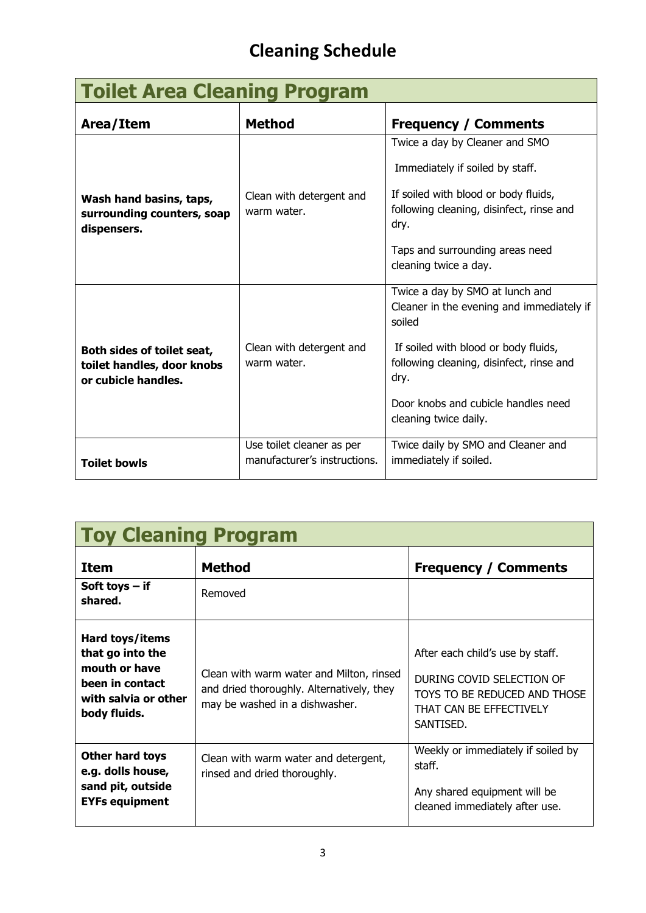| <b>Toilet Area Cleaning Program</b>                                             |                                                           |                                                                                                                                                                                                                                                    |  |  |  |  |  |  |
|---------------------------------------------------------------------------------|-----------------------------------------------------------|----------------------------------------------------------------------------------------------------------------------------------------------------------------------------------------------------------------------------------------------------|--|--|--|--|--|--|
| Area/Item                                                                       | <b>Method</b>                                             | <b>Frequency / Comments</b>                                                                                                                                                                                                                        |  |  |  |  |  |  |
| Wash hand basins, taps,<br>surrounding counters, soap<br>dispensers.            | Clean with detergent and<br>warm water.                   | Twice a day by Cleaner and SMO<br>Immediately if soiled by staff.<br>If soiled with blood or body fluids,<br>following cleaning, disinfect, rinse and<br>dry.<br>Taps and surrounding areas need<br>cleaning twice a day.                          |  |  |  |  |  |  |
| Both sides of toilet seat,<br>toilet handles, door knobs<br>or cubicle handles. | Clean with detergent and<br>warm water.                   | Twice a day by SMO at lunch and<br>Cleaner in the evening and immediately if<br>soiled<br>If soiled with blood or body fluids,<br>following cleaning, disinfect, rinse and<br>dry.<br>Door knobs and cubicle handles need<br>cleaning twice daily. |  |  |  |  |  |  |
| <b>Toilet bowls</b>                                                             | Use toilet cleaner as per<br>manufacturer's instructions. | Twice daily by SMO and Cleaner and<br>immediately if soiled.                                                                                                                                                                                       |  |  |  |  |  |  |

| <b>Toy Cleaning Program</b>                                                                                     |                                                                                                                         |                                                                                                                                       |  |  |  |  |  |  |  |  |
|-----------------------------------------------------------------------------------------------------------------|-------------------------------------------------------------------------------------------------------------------------|---------------------------------------------------------------------------------------------------------------------------------------|--|--|--|--|--|--|--|--|
| <b>Item</b>                                                                                                     | <b>Method</b>                                                                                                           | <b>Frequency / Comments</b>                                                                                                           |  |  |  |  |  |  |  |  |
| Soft toys $-$ if<br>shared.                                                                                     | Removed                                                                                                                 |                                                                                                                                       |  |  |  |  |  |  |  |  |
| Hard toys/items<br>that go into the<br>mouth or have<br>been in contact<br>with salvia or other<br>body fluids. | Clean with warm water and Milton, rinsed<br>and dried thoroughly. Alternatively, they<br>may be washed in a dishwasher. | After each child's use by staff.<br>DURING COVID SELECTION OF<br>TOYS TO BE REDUCED AND THOSE<br>THAT CAN BE EFFECTIVELY<br>SANTISED. |  |  |  |  |  |  |  |  |
| Other hard toys<br>e.g. dolls house,<br>sand pit, outside<br><b>EYFs equipment</b>                              | Clean with warm water and detergent,<br>rinsed and dried thoroughly.                                                    | Weekly or immediately if soiled by<br>staff.<br>Any shared equipment will be<br>cleaned immediately after use.                        |  |  |  |  |  |  |  |  |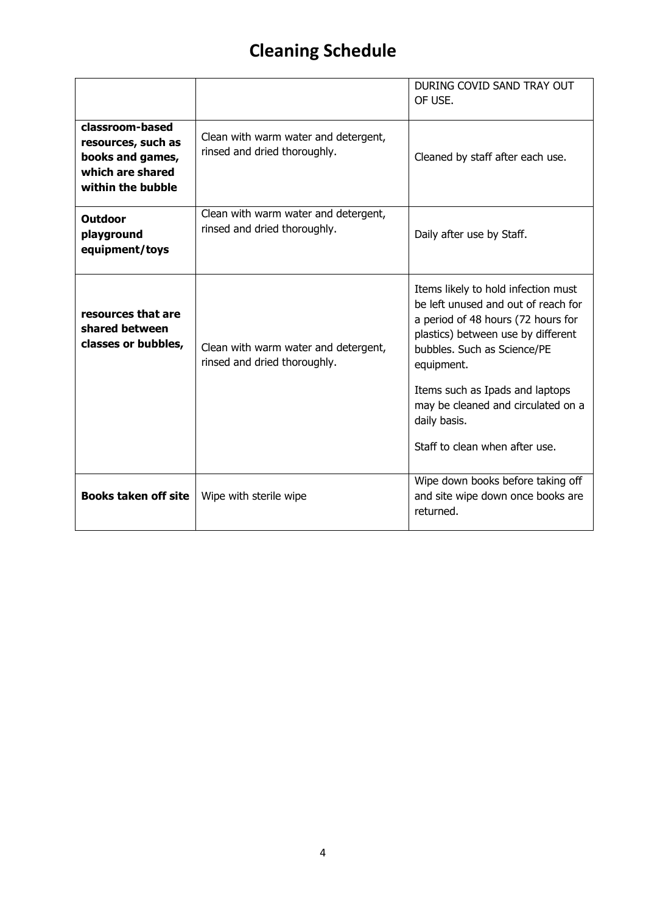|                                                                                                    |                                                                      | DURING COVID SAND TRAY OUT<br>OF USE.                                                                                                                                                                                                                                                                                          |
|----------------------------------------------------------------------------------------------------|----------------------------------------------------------------------|--------------------------------------------------------------------------------------------------------------------------------------------------------------------------------------------------------------------------------------------------------------------------------------------------------------------------------|
| classroom-based<br>resources, such as<br>books and games,<br>which are shared<br>within the bubble | Clean with warm water and detergent,<br>rinsed and dried thoroughly. | Cleaned by staff after each use.                                                                                                                                                                                                                                                                                               |
| Outdoor<br>playground<br>equipment/toys                                                            | Clean with warm water and detergent,<br>rinsed and dried thoroughly. | Daily after use by Staff.                                                                                                                                                                                                                                                                                                      |
| resources that are<br>shared between<br>classes or bubbles,                                        | Clean with warm water and detergent,<br>rinsed and dried thoroughly. | Items likely to hold infection must<br>be left unused and out of reach for<br>a period of 48 hours (72 hours for<br>plastics) between use by different<br>bubbles. Such as Science/PE<br>equipment.<br>Items such as Ipads and laptops<br>may be cleaned and circulated on a<br>daily basis.<br>Staff to clean when after use. |
| <b>Books taken off site</b>                                                                        | Wipe with sterile wipe                                               | Wipe down books before taking off<br>and site wipe down once books are<br>returned.                                                                                                                                                                                                                                            |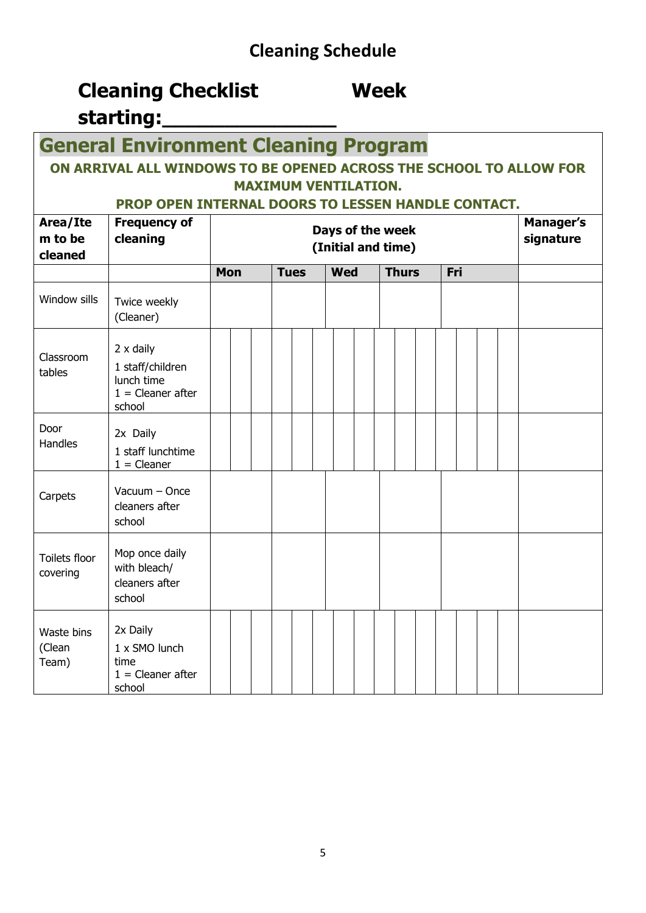### **Cleaning Checklist Week starting:\_\_\_\_\_\_\_\_\_\_\_\_\_\_**

### **General Environment Cleaning Program**

### **ON ARRIVAL ALL WINDOWS TO BE OPENED ACROSS THE SCHOOL TO ALLOW FOR MAXIMUM VENTILATION.**

### **PROP OPEN INTERNAL DOORS TO LESSEN HANDLE CONTACT.**

| Area/Ite<br>m to be<br>cleaned | <b>Frequency of</b><br>cleaning                                                     | Days of the week<br>(Initial and time) |  |  |  |             |  |            |  |  | <b>Manager's</b><br>signature |     |  |  |  |
|--------------------------------|-------------------------------------------------------------------------------------|----------------------------------------|--|--|--|-------------|--|------------|--|--|-------------------------------|-----|--|--|--|
|                                |                                                                                     | <b>Mon</b>                             |  |  |  | <b>Tues</b> |  | <b>Wed</b> |  |  | <b>Thurs</b>                  | Fri |  |  |  |
| Window sills                   | Twice weekly<br>(Cleaner)                                                           |                                        |  |  |  |             |  |            |  |  |                               |     |  |  |  |
| Classroom<br>tables            | $2 \times$ daily<br>1 staff/children<br>lunch time<br>$1 =$ Cleaner after<br>school |                                        |  |  |  |             |  |            |  |  |                               |     |  |  |  |
| Door<br>Handles                | 2x Daily<br>1 staff lunchtime<br>$1 =$ Cleaner                                      |                                        |  |  |  |             |  |            |  |  |                               |     |  |  |  |
| Carpets                        | Vacuum - Once<br>cleaners after<br>school                                           |                                        |  |  |  |             |  |            |  |  |                               |     |  |  |  |
| Toilets floor<br>covering      | Mop once daily<br>with bleach/<br>cleaners after<br>school                          |                                        |  |  |  |             |  |            |  |  |                               |     |  |  |  |
| Waste bins<br>(Clean<br>Team)  | 2x Daily<br>1 x SMO lunch<br>time<br>$1 =$ Cleaner after<br>school                  |                                        |  |  |  |             |  |            |  |  |                               |     |  |  |  |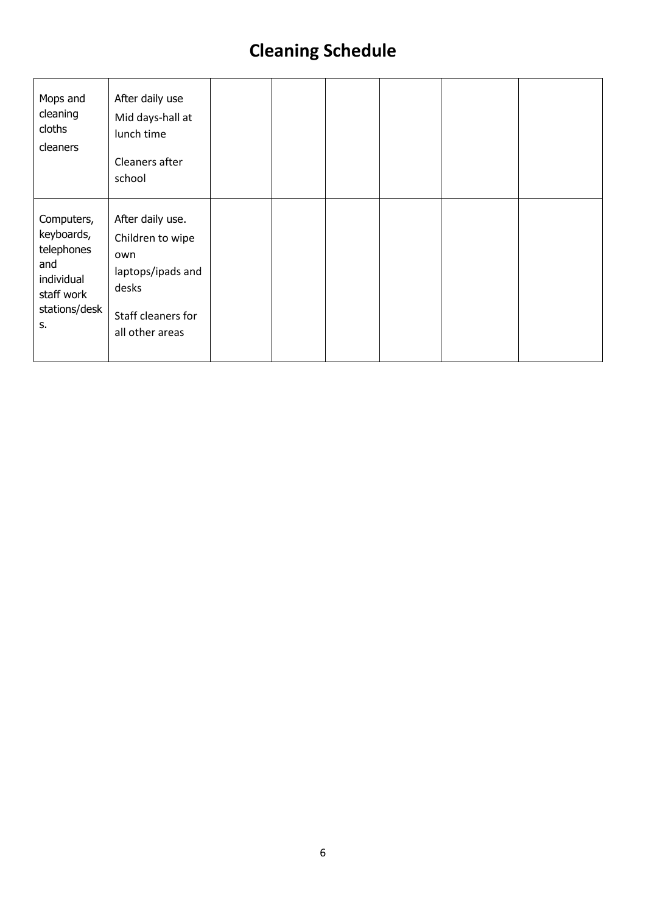| Mops and<br>cleaning<br>cloths<br>cleaners                                                       | After daily use<br>Mid days-hall at<br>lunch time<br>Cleaners after<br>school                                      |  |  |  |
|--------------------------------------------------------------------------------------------------|--------------------------------------------------------------------------------------------------------------------|--|--|--|
| Computers,<br>keyboards,<br>telephones<br>and<br>individual<br>staff work<br>stations/desk<br>S. | After daily use.<br>Children to wipe<br>own<br>laptops/ipads and<br>desks<br>Staff cleaners for<br>all other areas |  |  |  |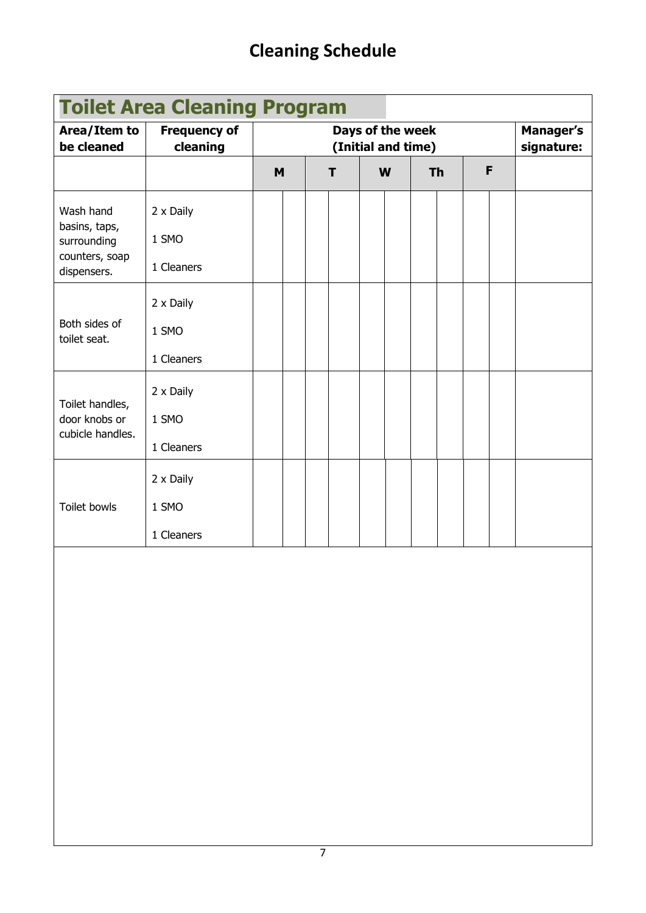| <b>Toilet Area Cleaning Program</b>                                        |                                  |                                        |  |   |   |  |           |  |  |   |                                |
|----------------------------------------------------------------------------|----------------------------------|----------------------------------------|--|---|---|--|-----------|--|--|---|--------------------------------|
| Area/Item to<br>be cleaned                                                 | <b>Frequency of</b><br>cleaning  | Days of the week<br>(Initial and time) |  |   |   |  |           |  |  |   | <b>Manager's</b><br>signature: |
|                                                                            |                                  | M                                      |  | т | W |  | <b>Th</b> |  |  | F |                                |
| Wash hand<br>basins, taps,<br>surrounding<br>counters, soap<br>dispensers. | 2 x Daily<br>1 SMO<br>1 Cleaners |                                        |  |   |   |  |           |  |  |   |                                |
| Both sides of<br>toilet seat.                                              | 2 x Daily<br>1 SMO<br>1 Cleaners |                                        |  |   |   |  |           |  |  |   |                                |
| Toilet handles,<br>door knobs or<br>cubicle handles.                       | 2 x Daily<br>1 SMO<br>1 Cleaners |                                        |  |   |   |  |           |  |  |   |                                |
| <b>Toilet bowls</b>                                                        | 2 x Daily<br>1 SMO<br>1 Cleaners |                                        |  |   |   |  |           |  |  |   |                                |